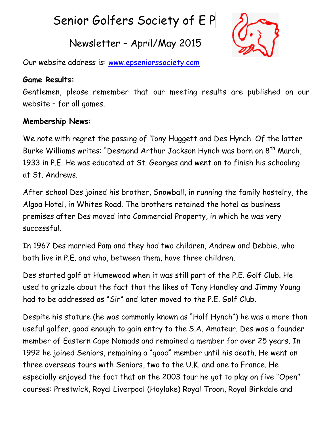# Senior Golfers Society of E P

# Newsletter – April/May 2015



Our website address is: [www.epseniorssociety.com](http://www.epseniorssociety.com/)

#### **Game Results:**

Gentlemen, please remember that our meeting results are published on our website – for all games.

### **Membership News**:

We note with regret the passing of Tony Huggett and Des Hynch. Of the latter Burke Williams writes: "Desmond Arthur Jackson Hynch was born on 8<sup>th</sup> March, 1933 in P.E. He was educated at St. Georges and went on to finish his schooling at St. Andrews.

After school Des joined his brother, Snowball, in running the family hostelry, the Algoa Hotel, in Whites Road. The brothers retained the hotel as business premises after Des moved into Commercial Property, in which he was very successful.

In 1967 Des married Pam and they had two children, Andrew and Debbie, who both live in P.E. and who, between them, have three children.

Des started golf at Humewood when it was still part of the P.E. Golf Club. He used to grizzle about the fact that the likes of Tony Handley and Jimmy Young had to be addressed as "Sir" and later moved to the P.E. Golf Club.

Despite his stature (he was commonly known as "Half Hynch") he was a more than useful golfer, good enough to gain entry to the S.A. Amateur. Des was a founder member of Eastern Cape Nomads and remained a member for over 25 years. In 1992 he joined Seniors, remaining a "good" member until his death. He went on three overseas tours with Seniors, two to the U.K. and one to France. He especially enjoyed the fact that on the 2003 tour he got to play on five "Open" courses: Prestwick, Royal Liverpool (Hoylake) Royal Troon, Royal Birkdale and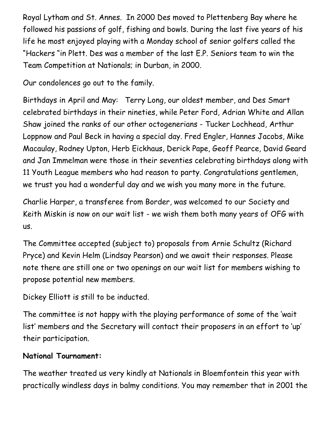Royal Lytham and St. Annes. In 2000 Des moved to Plettenberg Bay where he followed his passions of golf, fishing and bowls. During the last five years of his life he most enjoyed playing with a Monday school of senior golfers called the "Hackers "in Plett. Des was a member of the last E.P. Seniors team to win the Team Competition at Nationals; in Durban, in 2000.

Our condolences go out to the family.

Birthdays in April and May: Terry Long, our oldest member, and Des Smart celebrated birthdays in their nineties, while Peter Ford, Adrian White and Allan Shaw joined the ranks of our other octogenerians - Tucker Lochhead, Arthur Loppnow and Paul Beck in having a special day. Fred Engler, Hannes Jacobs, Mike Macaulay, Rodney Upton, Herb Eickhaus, Derick Pape, Geoff Pearce, David Geard and Jan Immelman were those in their seventies celebrating birthdays along with 11 Youth League members who had reason to party. Congratulations gentlemen, we trust you had a wonderful day and we wish you many more in the future.

Charlie Harper, a transferee from Border, was welcomed to our Society and Keith Miskin is now on our wait list - we wish them both many years of OFG with us.

The Committee accepted (subject to) proposals from Arnie Schultz (Richard Pryce) and Kevin Helm (Lindsay Pearson) and we await their responses. Please note there are still one or two openings on our wait list for members wishing to propose potential new members.

Dickey Elliott is still to be inducted.

The committee is not happy with the playing performance of some of the 'wait list' members and the Secretary will contact their proposers in an effort to 'up' their participation.

#### **National Tournament:**

The weather treated us very kindly at Nationals in Bloemfontein this year with practically windless days in balmy conditions. You may remember that in 2001 the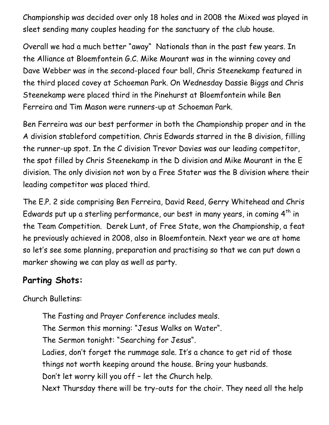Championship was decided over only 18 holes and in 2008 the Mixed was played in sleet sending many couples heading for the sanctuary of the club house.

Overall we had a much better "away" Nationals than in the past few years. In the Alliance at Bloemfontein G.C. Mike Mourant was in the winning covey and Dave Webber was in the second-placed four ball, Chris Steenekamp featured in the third placed covey at Schoeman Park. On Wednesday Dassie Biggs and Chris Steenekamp were placed third in the Pinehurst at Bloemfontein while Ben Ferreira and Tim Mason were runners-up at Schoeman Park.

Ben Ferreira was our best performer in both the Championship proper and in the A division stableford competition. Chris Edwards starred in the B division, filling the runner-up spot. In the C division Trevor Davies was our leading competitor, the spot filled by Chris Steenekamp in the D division and Mike Mourant in the E division. The only division not won by a Free Stater was the B division where their leading competitor was placed third.

The E.P. 2 side comprising Ben Ferreira, David Reed, Gerry Whitehead and Chris Edwards put up a sterling performance, our best in many years, in coming  $4<sup>th</sup>$  in the Team Competition. Derek Lunt, of Free State, won the Championship, a feat he previously achieved in 2008, also in Bloemfontein. Next year we are at home so let's see some planning, preparation and practising so that we can put down a marker showing we can play as well as party.

## **Parting Shots:**

Church Bulletins:

The Fasting and Prayer Conference includes meals. The Sermon this morning: "Jesus Walks on Water". The Sermon tonight: "Searching for Jesus". Ladies, don't forget the rummage sale. It's a chance to get rid of those things not worth keeping around the house. Bring your husbands. Don't let worry kill you off – let the Church help. Next Thursday there will be try-outs for the choir. They need all the help